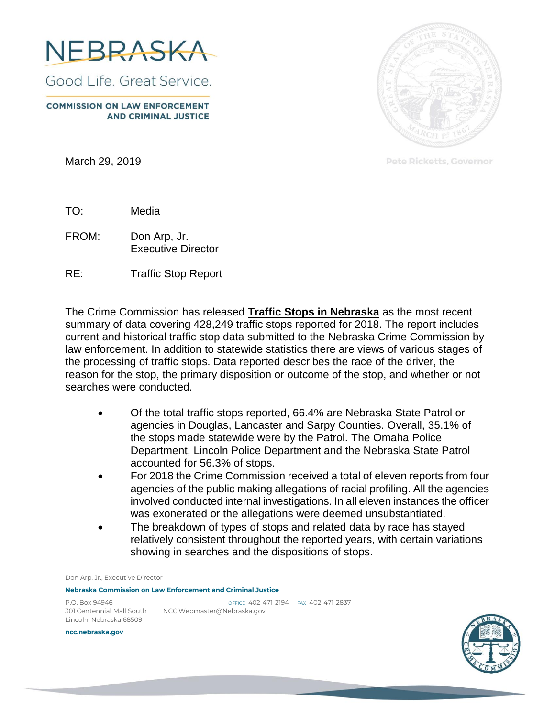

Good Life, Great Service.

**COMMISSION ON LAW ENFORCEMENT AND CRIMINAL JUSTICE** 

March 29, 2019



Pete Ricketts, Governor

TO: Media

FROM: Don Arp, Jr. Executive Director

RE: Traffic Stop Report

The Crime Commission has released **Traffic Stops in Nebraska** as the most recent summary of data covering 428,249 traffic stops reported for 2018. The report includes current and historical traffic stop data submitted to the Nebraska Crime Commission by law enforcement. In addition to statewide statistics there are views of various stages of the processing of traffic stops. Data reported describes the race of the driver, the reason for the stop, the primary disposition or outcome of the stop, and whether or not searches were conducted.

- Of the total traffic stops reported, 66.4% are Nebraska State Patrol or agencies in Douglas, Lancaster and Sarpy Counties. Overall, 35.1% of the stops made statewide were by the Patrol. The Omaha Police Department, Lincoln Police Department and the Nebraska State Patrol accounted for 56.3% of stops.
- For 2018 the Crime Commission received a total of eleven reports from four agencies of the public making allegations of racial profiling. All the agencies involved conducted internal investigations. In all eleven instances the officer was exonerated or the allegations were deemed unsubstantiated.
- The breakdown of types of stops and related data by race has stayed relatively consistent throughout the reported years, with certain variations showing in searches and the dispositions of stops.

Don Arp, Jr., Executive Director

**Nebraska Commission on Law Enforcement and Criminal Justice**

Lincoln, Nebraska 68509

P.O. Box 94946 OFFICE 402-471-2194 FAX 402-471-2837 301 Centennial Mall South NCC.Webmaster@Nebraska.gov

**ncc.nebraska.gov**